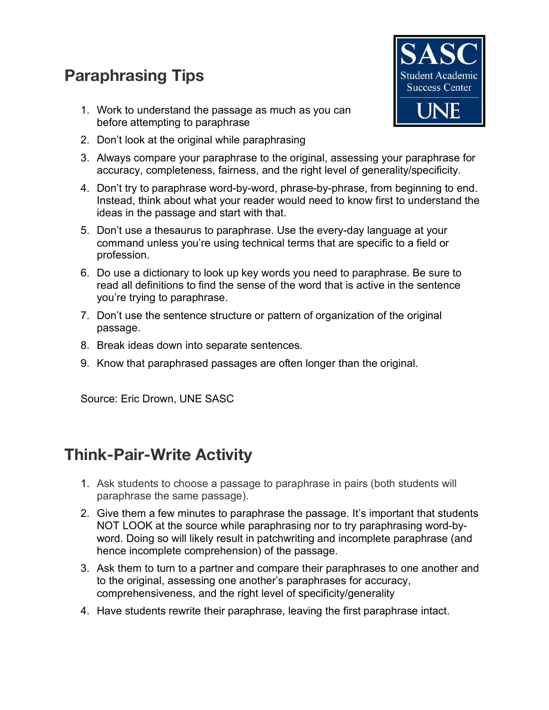## **Paraphrasing Tips**

1. Work to understand the passage as much as you can before attempting to paraphrase



- 2. Don't look at the original while paraphrasing
- 3. Always compare your paraphrase to the original, assessing your paraphrase for accuracy, completeness, fairness, and the right level of generality/specificity.
- 4. Don't try to paraphrase word-by-word, phrase-by-phrase, from beginning to end. Instead, think about what your reader would need to know first to understand the ideas in the passage and start with that.
- 5. Don't use a thesaurus to paraphrase. Use the every-day language at your command unless you're using technical terms that are specific to a field or profession.
- 6. Do use a dictionary to look up key words you need to paraphrase. Be sure to read all definitions to find the sense of the word that is active in the sentence you're trying to paraphrase.
- 7. Don't use the sentence structure or pattern of organization of the original passage.
- 8. Break ideas down into separate sentences.
- 9. Know that paraphrased passages are often longer than the original.

Source: Eric Drown, UNE SASC

## **Think-Pair-Write Activity**

- 1. Ask students to choose a passage to paraphrase in pairs (both students will paraphrase the same passage).
- 2. Give them a few minutes to paraphrase the passage. It's important that students NOT LOOK at the source while paraphrasing nor to try paraphrasing word-byword. Doing so will likely result in patchwriting and incomplete paraphrase (and hence incomplete comprehension) of the passage.
- 3. Ask them to turn to a partner and compare their paraphrases to one another and to the original, assessing one another's paraphrases for accuracy, comprehensiveness, and the right level of specificity/generality
- 4. Have students rewrite their paraphrase, leaving the first paraphrase intact.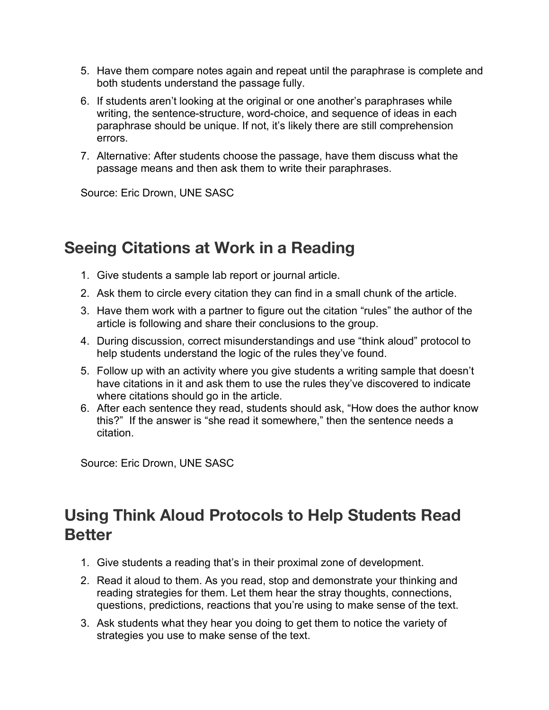- 5. Have them compare notes again and repeat until the paraphrase is complete and both students understand the passage fully.
- 6. If students aren't looking at the original or one another's paraphrases while writing, the sentence-structure, word-choice, and sequence of ideas in each paraphrase should be unique. If not, it's likely there are still comprehension errors.
- 7. Alternative: After students choose the passage, have them discuss what the passage means and then ask them to write their paraphrases.

Source: Eric Drown, UNE SASC

## **Seeing Citations at Work in a Reading**

- 1. Give students a sample lab report or journal article.
- 2. Ask them to circle every citation they can find in a small chunk of the article.
- 3. Have them work with a partner to figure out the citation "rules" the author of the article is following and share their conclusions to the group.
- 4. During discussion, correct misunderstandings and use "think aloud" protocol to help students understand the logic of the rules they've found.
- 5. Follow up with an activity where you give students a writing sample that doesn't have citations in it and ask them to use the rules they've discovered to indicate where citations should go in the article.
- 6. After each sentence they read, students should ask, "How does the author know this?" If the answer is "she read it somewhere," then the sentence needs a citation.

Source: Eric Drown, UNE SASC

## **Using Think Aloud Protocols to Help Students Read Better**

- 1. Give students a reading that's in their proximal zone of development.
- 2. Read it aloud to them. As you read, stop and demonstrate your thinking and reading strategies for them. Let them hear the stray thoughts, connections, questions, predictions, reactions that you're using to make sense of the text.
- 3. Ask students what they hear you doing to get them to notice the variety of strategies you use to make sense of the text.